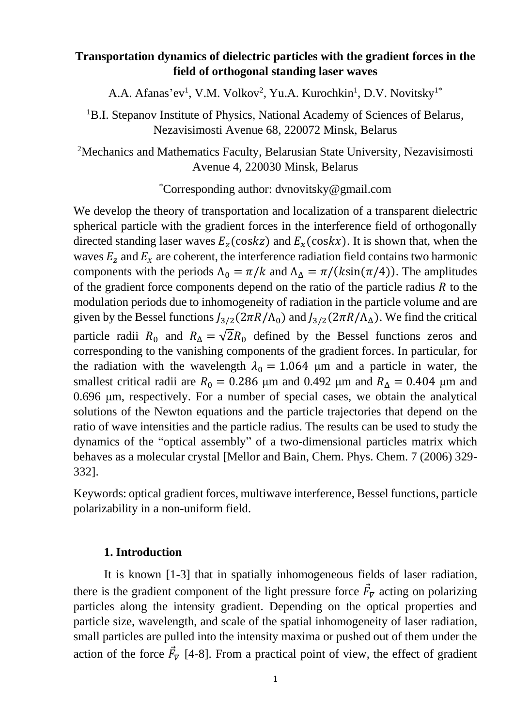## **Transportation dynamics of dielectric particles with the gradient forces in the field of orthogonal standing laser waves**

A.A. Afanas'ev<sup>1</sup>, V.M. Volkov<sup>2</sup>, Yu.A. Kurochkin<sup>1</sup>, D.V. Novitsky<sup>1\*</sup>

<sup>1</sup>B.I. Stepanov Institute of Physics, National Academy of Sciences of Belarus, Nezavisimosti Avenue 68, 220072 Minsk, Belarus

<sup>2</sup>Mechanics and Mathematics Faculty, Belarusian State University, Nezavisimosti Avenue 4, 220030 Minsk, Belarus

\*Corresponding author: dvnovitsky@gmail.com

We develop the theory of transportation and localization of a transparent dielectric spherical particle with the gradient forces in the interference field of orthogonally directed standing laser waves  $E_z$  (coskz) and  $E_x$  (coskx). It is shown that, when the waves  $E_z$  and  $E_x$  are coherent, the interference radiation field contains two harmonic components with the periods  $\Lambda_0 = \pi / k$  and  $\Lambda_\Lambda = \pi / (k \sin(\pi/4))$ . The amplitudes of the gradient force components depend on the ratio of the particle radius  $R$  to the modulation periods due to inhomogeneity of radiation in the particle volume and are given by the Bessel functions  $J_{3/2}(2\pi R/\Lambda_0)$  and  $J_{3/2}(2\pi R/\Lambda_\Delta)$ . We find the critical particle radii  $R_0$  and  $R_\Delta = \sqrt{2}R_0$  defined by the Bessel functions zeros and corresponding to the vanishing components of the gradient forces. In particular, for the radiation with the wavelength  $\lambda_0 = 1.064$  µm and a particle in water, the smallest critical radii are  $R_0 = 0.286$  μm and 0.492 μm and  $R_\Delta = 0.404$  μm and 0.696 μm, respectively. For a number of special cases, we obtain the analytical solutions of the Newton equations and the particle trajectories that depend on the ratio of wave intensities and the particle radius. The results can be used to study the dynamics of the "optical assembly" of a two-dimensional particles matrix which behaves as a molecular crystal [Mellor and Bain, Chem. Phys. Chem. 7 (2006) 329- 332].

Keywords: optical gradient forces, multiwave interference, Bessel functions, particle polarizability in a non-uniform field.

## **1. Introduction**

It is known [1-3] that in spatially inhomogeneous fields of laser radiation, there is the gradient component of the light pressure force  $\vec{F}_{\nabla}$  acting on polarizing particles along the intensity gradient. Depending on the optical properties and particle size, wavelength, and scale of the spatial inhomogeneity of laser radiation, small particles are pulled into the intensity maxima or pushed out of them under the action of the force  $\vec{F}_{\nabla}$  [4-8]. From a practical point of view, the effect of gradient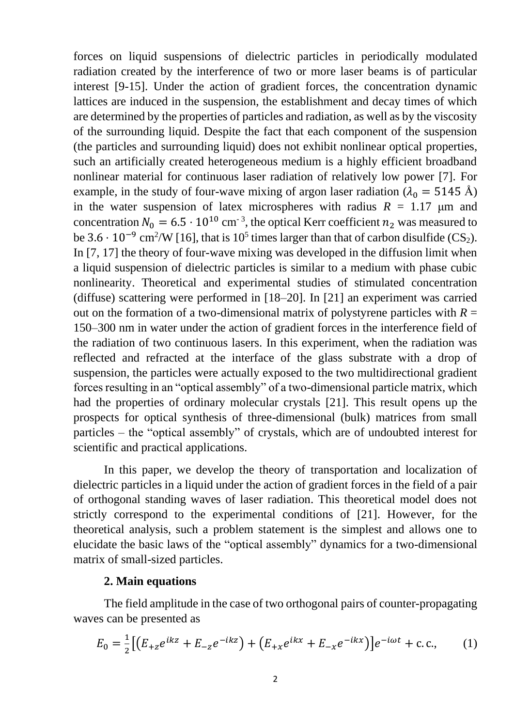forces on liquid suspensions of dielectric particles in periodically modulated radiation created by the interference of two or more laser beams is of particular interest [9-15]. Under the action of gradient forces, the concentration dynamic lattices are induced in the suspension, the establishment and decay times of which are determined by the properties of particles and radiation, as well as by the viscosity of the surrounding liquid. Despite the fact that each component of the suspension (the particles and surrounding liquid) does not exhibit nonlinear optical properties, such an artificially created heterogeneous medium is a highly efficient broadband nonlinear material for continuous laser radiation of relatively low power [7]. For example, in the study of four-wave mixing of argon laser radiation ( $\lambda_0 = 5145 \text{ Å}$ ) in the water suspension of latex microspheres with radius  $R = 1.17$  µm and concentration  $N_0 = 6.5 \cdot 10^{10}$  cm<sup>-3</sup>, the optical Kerr coefficient  $n_2$  was measured to be  $3.6 \cdot 10^{-9}$  cm<sup>2</sup>/W [16], that is 10<sup>5</sup> times larger than that of carbon disulfide (CS<sub>2</sub>). In [7, 17] the theory of four-wave mixing was developed in the diffusion limit when a liquid suspension of dielectric particles is similar to a medium with phase cubic nonlinearity. Theoretical and experimental studies of stimulated concentration (diffuse) scattering were performed in [18–20]. In [21] an experiment was carried out on the formation of a two-dimensional matrix of polystyrene particles with  $R =$ 150–300 nm in water under the action of gradient forces in the interference field of the radiation of two continuous lasers. In this experiment, when the radiation was reflected and refracted at the interface of the glass substrate with a drop of suspension, the particles were actually exposed to the two multidirectional gradient forces resulting in an "optical assembly" of a two-dimensional particle matrix, which had the properties of ordinary molecular crystals [21]. This result opens up the prospects for optical synthesis of three-dimensional (bulk) matrices from small particles – the "optical assembly" of crystals, which are of undoubted interest for scientific and practical applications.

In this paper, we develop the theory of transportation and localization of dielectric particles in a liquid under the action of gradient forces in the field of a pair of orthogonal standing waves of laser radiation. This theoretical model does not strictly correspond to the experimental conditions of [21]. However, for the theoretical analysis, such a problem statement is the simplest and allows one to elucidate the basic laws of the "optical assembly" dynamics for a two-dimensional matrix of small-sized particles.

### **2. Main equations**

The field amplitude in the case of two orthogonal pairs of counter-propagating waves can be presented as

$$
E_0 = \frac{1}{2} \left[ \left( E_{+z} e^{ikz} + E_{-z} e^{-ikz} \right) + \left( E_{+x} e^{ikx} + E_{-x} e^{-ikx} \right) \right] e^{-i\omega t} + \text{c.c.},\tag{1}
$$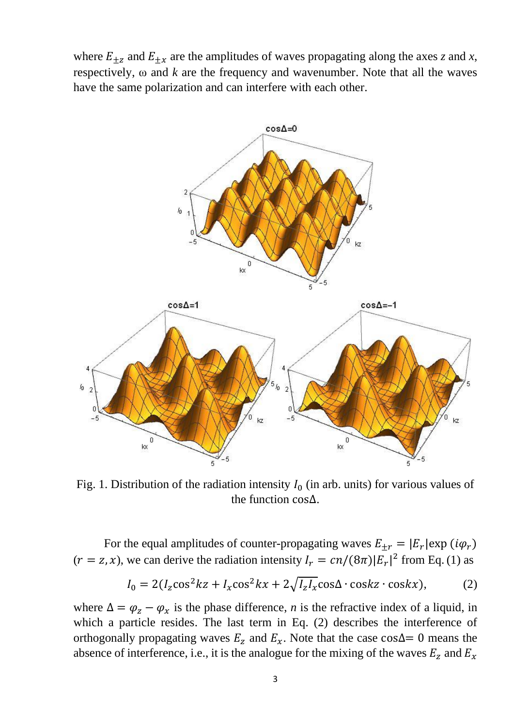where  $E_{\pm z}$  and  $E_{\pm x}$  are the amplitudes of waves propagating along the axes *z* and *x*, respectively,  $\omega$  and  $k$  are the frequency and wavenumber. Note that all the waves have the same polarization and can interfere with each other.



Fig. 1. Distribution of the radiation intensity  $I_0$  (in arb. units) for various values of the function cos∆.

For the equal amplitudes of counter-propagating waves  $E_{\pm r} = |E_r| \exp(i\varphi_r)$  $(r = z, x)$ , we can derive the radiation intensity  $I_r = cn/(8\pi)|E_r|^2$  from Eq. (1) as

$$
I_0 = 2(I_z \cos^2 kz + I_x \cos^2 kx + 2\sqrt{I_z I_x} \cos\Delta \cdot \cos kz \cdot \cos kx),
$$
 (2)

where  $\Delta = \varphi_z - \varphi_x$  is the phase difference, *n* is the refractive index of a liquid, in which a particle resides. The last term in Eq. (2) describes the interference of orthogonally propagating waves  $E_z$  and  $E_x$ . Note that the case cos∆= 0 means the absence of interference, i.e., it is the analogue for the mixing of the waves  $E_z$  and  $E_x$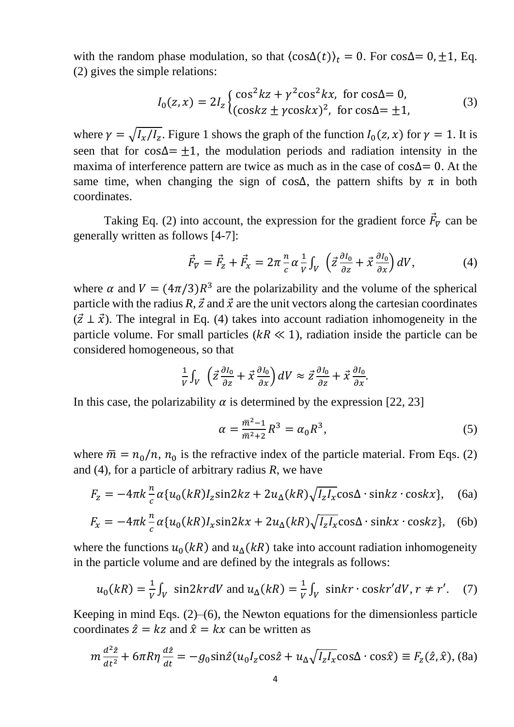with the random phase modulation, so that  $\langle \cos\Delta(t) \rangle_t = 0$ . For  $\cos\Delta = 0, \pm 1$ , Eq. (2) gives the simple relations:

$$
I_0(z, x) = 2I_z \begin{cases} \cos^2 kz + \gamma^2 \cos^2 kx, & \text{for } \cos\Delta = 0, \\ (\cos kz \pm \gamma \cos kx)^2, & \text{for } \cos\Delta = \pm 1, \end{cases} \tag{3}
$$

where  $\gamma = \sqrt{I_x/I_z}$ . Figure 1 shows the graph of the function  $I_0(z, x)$  for  $\gamma = 1$ . It is seen that for cos∆=  $\pm$ 1, the modulation periods and radiation intensity in the maxima of interference pattern are twice as much as in the case of cos∆= 0. At the same time, when changing the sign of cos∆, the pattern shifts by  $\pi$  in both coordinates.

Taking Eq. (2) into account, the expression for the gradient force  $\vec{F}_{\nabla}$  can be generally written as follows [4-7]:

$$
\vec{F}_{\nabla} = \vec{F}_z + \vec{F}_x = 2\pi \frac{n}{c} \alpha \frac{1}{V} \int_V \left( \vec{z} \frac{\partial I_0}{\partial z} + \vec{x} \frac{\partial I_0}{\partial x} \right) dV, \tag{4}
$$

where  $\alpha$  and  $V = (4\pi/3)R^3$  are the polarizability and the volume of the spherical particle with the radius  $R$ ,  $\vec{z}$  and  $\vec{x}$  are the unit vectors along the cartesian coordinates  $({\vec{z} \perp \vec{x}})$ . The integral in Eq. (4) takes into account radiation inhomogeneity in the particle volume. For small particles ( $kR \ll 1$ ), radiation inside the particle can be considered homogeneous, so that

$$
\frac{1}{V}\int_V \left(\vec{z}\frac{\partial I_0}{\partial z} + \vec{x}\frac{\partial I_0}{\partial x}\right)dV \approx \vec{z}\frac{\partial I_0}{\partial z} + \vec{x}\frac{\partial I_0}{\partial x}.
$$

In this case, the polarizability  $\alpha$  is determined by the expression [22, 23]

$$
\alpha = \frac{\bar{m}^2 - 1}{\bar{m}^2 + 2} R^3 = \alpha_0 R^3,
$$
\n(5)

where  $\bar{m} = n_0/n$ ,  $n_0$  is the refractive index of the particle material. From Eqs. (2) and (4), for a particle of arbitrary radius *R*, we have

$$
F_z = -4\pi k \frac{h}{c} \alpha \{u_0(kR)I_z \sin 2kz + 2u_\Delta(kR)\sqrt{I_zI_x} \cos \Delta \cdot \sin kz \cdot \cos kx\}, \quad (6a)
$$

$$
F_x = -4\pi k \frac{n}{c} \alpha \{u_0(kR)I_x \sin 2kx + 2u_\Delta(kR)\sqrt{I_zI_x} \cos \Delta \cdot \sin kx \cdot \cos kz\}, \quad (6b)
$$

where the functions  $u_0(kR)$  and  $u_0(kR)$  take into account radiation inhomogeneity in the particle volume and are defined by the integrals as follows:

$$
u_0(kR) = \frac{1}{V} \int_V \sin 2kr dV \text{ and } u_{\Delta}(kR) = \frac{1}{V} \int_V \sin kr \cdot \cos kr' dV, r \neq r'. \tag{7}
$$

Keeping in mind Eqs. (2)–(6), the Newton equations for the dimensionless particle coordinates  $\hat{z} = kz$  and  $\hat{x} = kx$  can be written as

$$
m\frac{d^2\hat{z}}{dt^2} + 6\pi R\eta \frac{d\hat{z}}{dt} = -g_0 \sin\hat{z} (u_0 I_z \cos\hat{z} + u_\Delta \sqrt{I_z I_x} \cos\Delta \cdot \cos\hat{x}) \equiv F_z(\hat{z}, \hat{x}),
$$
 (8a)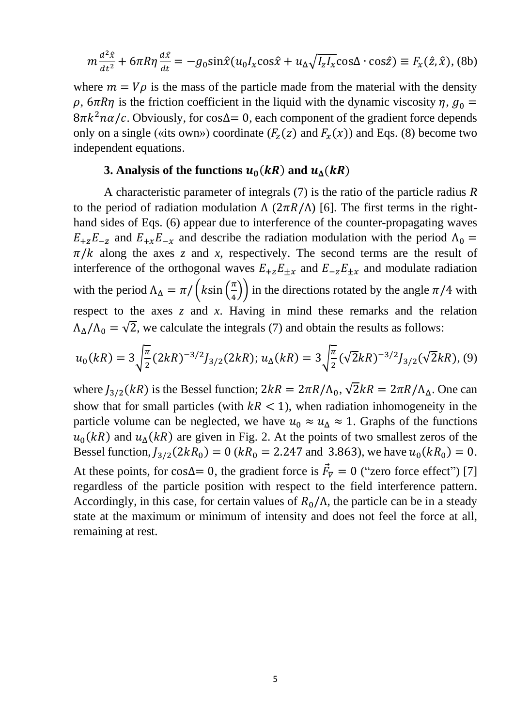$$
m\frac{d^2\hat{x}}{dt^2} + 6\pi R\eta \frac{d\hat{x}}{dt} = -g_0 \sin\hat{x} (u_0 I_x \cos\hat{x} + u_\Delta \sqrt{I_z I_x} \cos\Delta \cdot \cos\hat{z}) \equiv F_x(\hat{z}, \hat{x}),
$$
 (8b)

where  $m = V\rho$  is the mass of the particle made from the material with the density  $\rho$ ,  $6\pi R\eta$  is the friction coefficient in the liquid with the dynamic viscosity  $\eta$ ,  $g_0 =$  $8\pi k^2 n\alpha/c$ . Obviously, for cos∆= 0, each component of the gradient force depends only on a single («its own») coordinate  $(F_z(z)$  and  $F_x(x))$  and Eqs. (8) become two independent equations.

# **3.** Analysis of the functions  $u_0(kR)$  and  $u_0(kR)$

A characteristic parameter of integrals (7) is the ratio of the particle radius *R* to the period of radiation modulation  $\Lambda$  ( $2\pi R/\Lambda$ ) [6]. The first terms in the righthand sides of Eqs. (6) appear due to interference of the counter-propagating waves  $E_{+z}E_{-z}$  and  $E_{+x}E_{-x}$  and describe the radiation modulation with the period  $\Lambda_0 =$  $\pi/k$  along the axes *z* and *x*, respectively. The second terms are the result of interference of the orthogonal waves  $E_{+z}E_{+x}$  and  $E_{-z}E_{+x}$  and modulate radiation with the period  $\Lambda_{\Delta} = \pi / (k \sin \left( \frac{\pi}{4} \right))$  $\left(\frac{\pi}{4}\right)$  in the directions rotated by the angle  $\pi/4$  with respect to the axes *z* and *x*. Having in mind these remarks and the relation  $\Lambda_{\Lambda}/\Lambda_0 = \sqrt{2}$ , we calculate the integrals (7) and obtain the results as follows:

$$
u_0(kR) = 3\sqrt{\frac{\pi}{2}} (2kR)^{-3/2} J_{3/2}(2kR); u_\Delta(kR) = 3\sqrt{\frac{\pi}{2}} (\sqrt{2}kR)^{-3/2} J_{3/2}(\sqrt{2}kR), (9)
$$

where  $J_{3/2}(kR)$  is the Bessel function;  $2kR = 2\pi R/\Lambda_0$ ,  $\sqrt{2}kR = 2\pi R/\Lambda_\Delta$ . One can show that for small particles (with  $kR < 1$ ), when radiation inhomogeneity in the particle volume can be neglected, we have  $u_0 \approx u_\Lambda \approx 1$ . Graphs of the functions  $u_0(kR)$  and  $u_0(kR)$  are given in Fig. 2. At the points of two smallest zeros of the Bessel function,  $J_{3/2}(2kR_0) = 0$  ( $kR_0 = 2.247$  and 3.863), we have  $u_0(kR_0) = 0$ . At these points, for cos∆= 0, the gradient force is  $\vec{F}_{\nabla} = 0$  ("zero force effect") [7] regardless of the particle position with respect to the field interference pattern. Accordingly, in this case, for certain values of  $R_0/\Lambda$ , the particle can be in a steady state at the maximum or minimum of intensity and does not feel the force at all, remaining at rest.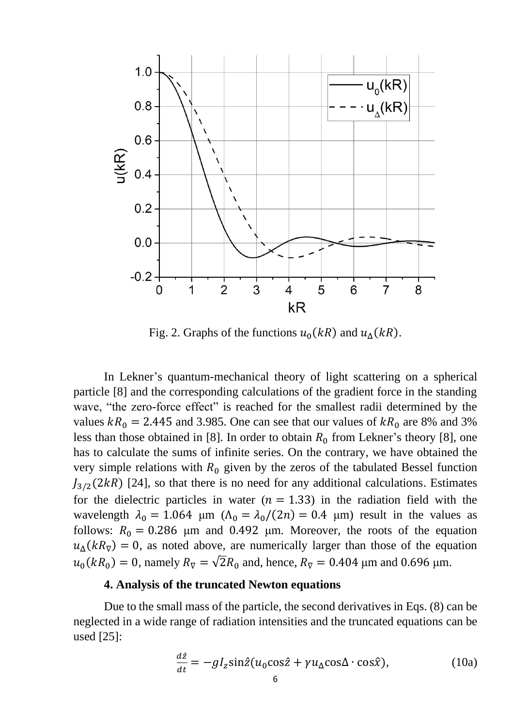

Fig. 2. Graphs of the functions  $u_0(kR)$  and  $u_0(kR)$ .

In Lekner's quantum-mechanical theory of light scattering on a spherical particle [8] and the corresponding calculations of the gradient force in the standing wave, "the zero-force effect" is reached for the smallest radii determined by the values  $kR_0 = 2.445$  and 3.985. One can see that our values of  $kR_0$  are 8% and 3% less than those obtained in [8]. In order to obtain  $R_0$  from Lekner's theory [8], one has to calculate the sums of infinite series. On the contrary, we have obtained the very simple relations with  $R_0$  given by the zeros of the tabulated Bessel function  $J_{3/2}(2kR)$  [24], so that there is no need for any additional calculations. Estimates for the dielectric particles in water  $(n = 1.33)$  in the radiation field with the wavelength  $\lambda_0 = 1.064$  μm  $(\Lambda_0 = \lambda_0/(2n) = 0.4$  μm) result in the values as follows:  $R_0 = 0.286$  μm and 0.492 μm. Moreover, the roots of the equation  $u_{\Delta}(kR_{\overline{v}}) = 0$ , as noted above, are numerically larger than those of the equation  $u_0(kR_0) = 0$ , namely  $R_{\overline{v}} = \sqrt{2}R_0$  and, hence,  $R_{\overline{v}} = 0.404$  µm and 0.696 µm.

### **4. Analysis of the truncated Newton equations**

Due to the small mass of the particle, the second derivatives in Eqs. (8) can be neglected in a wide range of radiation intensities and the truncated equations can be used [25]:

$$
\frac{d\hat{z}}{dt} = -gI_z \sin\hat{z} (u_0 \cos\hat{z} + \gamma u_\Delta \cos\Delta \cdot \cos\hat{x}), \qquad (10a)
$$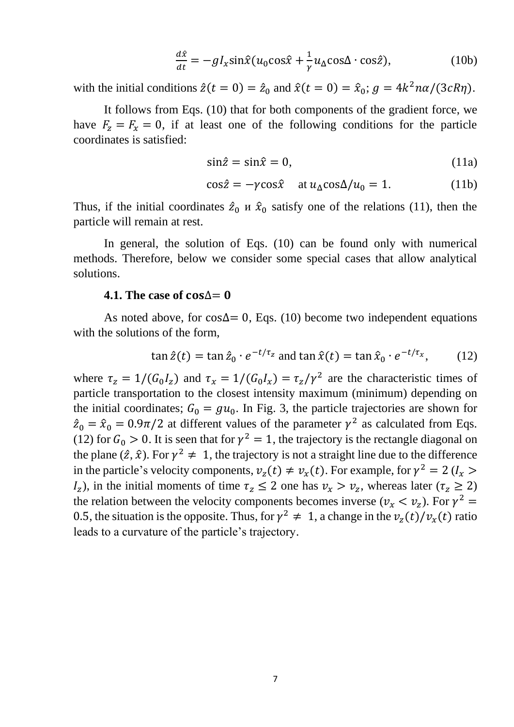$$
\frac{d\hat{x}}{dt} = -gI_x \sin \hat{x} (u_0 \cos \hat{x} + \frac{1}{\gamma} u_0 \cos \Delta \cdot \cos \hat{z}), \qquad (10b)
$$

with the initial conditions  $\hat{z}(t = 0) = \hat{z}_0$  and  $\hat{x}(t = 0) = \hat{x}_0$ ;  $g = 4k^2 n\alpha/(3cR\eta)$ .

It follows from Eqs. (10) that for both components of the gradient force, we have  $F_z = F_x = 0$ , if at least one of the following conditions for the particle coordinates is satisfied:

$$
\sin \hat{z} = \sin \hat{x} = 0,\tag{11a}
$$

$$
\cos \hat{z} = -\gamma \cos \hat{x} \quad \text{at } u_{\Delta} \cos \Delta / u_0 = 1. \tag{11b}
$$

Thus, if the initial coordinates  $\hat{z}_0$  u  $\hat{x}_0$  satisfy one of the relations (11), then the particle will remain at rest.

In general, the solution of Eqs. (10) can be found only with numerical methods. Therefore, below we consider some special cases that allow analytical solutions.

#### **4.1.** The case of  $cos\Delta = 0$

As noted above, for cos $\Delta$ = 0, Eqs. (10) become two independent equations with the solutions of the form,

$$
\tan \hat{z}(t) = \tan \hat{z}_0 \cdot e^{-t/\tau_z} \text{ and } \tan \hat{x}(t) = \tan \hat{x}_0 \cdot e^{-t/\tau_x}, \quad (12)
$$

where  $\tau_z = 1/(G_0 I_z)$  and  $\tau_x = 1/(G_0 I_x) = \tau_z/\gamma^2$  are the characteristic times of particle transportation to the closest intensity maximum (minimum) depending on the initial coordinates;  $G_0 = gu_0$ . In Fig. 3, the particle trajectories are shown for  $\hat{z}_0 = \hat{x}_0 = 0.9\pi/2$  at different values of the parameter  $\gamma^2$  as calculated from Eqs. (12) for  $G_0 > 0$ . It is seen that for  $\gamma^2 = 1$ , the trajectory is the rectangle diagonal on the plane  $(\hat{z}, \hat{x})$ . For  $\gamma^2 \neq 1$ , the trajectory is not a straight line due to the difference in the particle's velocity components,  $v_z(t) \neq v_x(t)$ . For example, for  $\gamma^2 = 2$  ( $l_x >$  $I_z$ ), in the initial moments of time  $\tau_z \leq 2$  one has  $\nu_x > \nu_z$ , whereas later  $(\tau_z \geq 2)$ the relation between the velocity components becomes inverse ( $v_x < v_z$ ). For  $\gamma^2 =$ 0.5, the situation is the opposite. Thus, for  $\gamma^2 \neq 1$ , a change in the  $v_z(t)/v_x(t)$  ratio leads to a curvature of the particle's trajectory.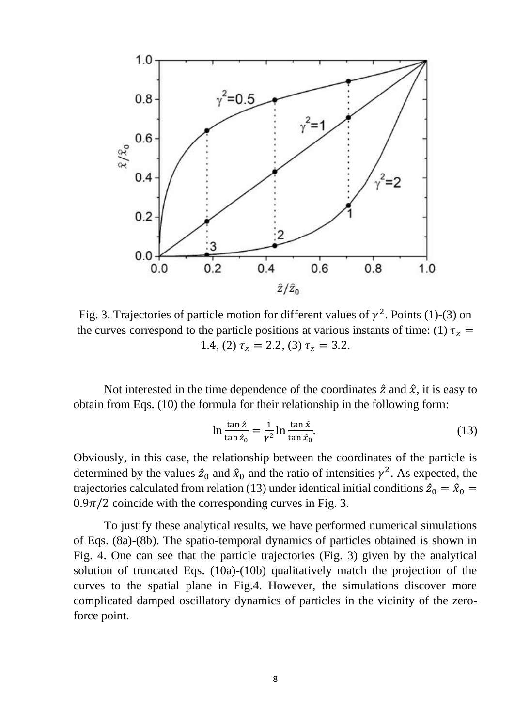

Fig. 3. Trajectories of particle motion for different values of  $\gamma^2$ . Points (1)-(3) on the curves correspond to the particle positions at various instants of time: (1)  $\tau_z$  = 1.4, (2)  $\tau_z = 2.2$ , (3)  $\tau_z = 3.2$ .

Not interested in the time dependence of the coordinates  $\hat{z}$  and  $\hat{x}$ , it is easy to obtain from Eqs. (10) the formula for their relationship in the following form:

$$
\ln \frac{\tan \hat{z}}{\tan \hat{z}_0} = \frac{1}{\gamma^2} \ln \frac{\tan \hat{x}}{\tan \hat{x}_0}.
$$
 (13)

Obviously, in this case, the relationship between the coordinates of the particle is determined by the values  $\hat{z}_0$  and  $\hat{x}_0$  and the ratio of intensities  $\gamma^2$ . As expected, the trajectories calculated from relation (13) under identical initial conditions  $\hat{z}_0 = \hat{x}_0 =$  $0.9\pi/2$  coincide with the corresponding curves in Fig. 3.

To justify these analytical results, we have performed numerical simulations of Eqs. (8a)-(8b). The spatio-temporal dynamics of particles obtained is shown in Fig. 4. One can see that the particle trajectories (Fig. 3) given by the analytical solution of truncated Eqs. (10a)-(10b) qualitatively match the projection of the curves to the spatial plane in Fig.4. However, the simulations discover more complicated damped oscillatory dynamics of particles in the vicinity of the zeroforce point.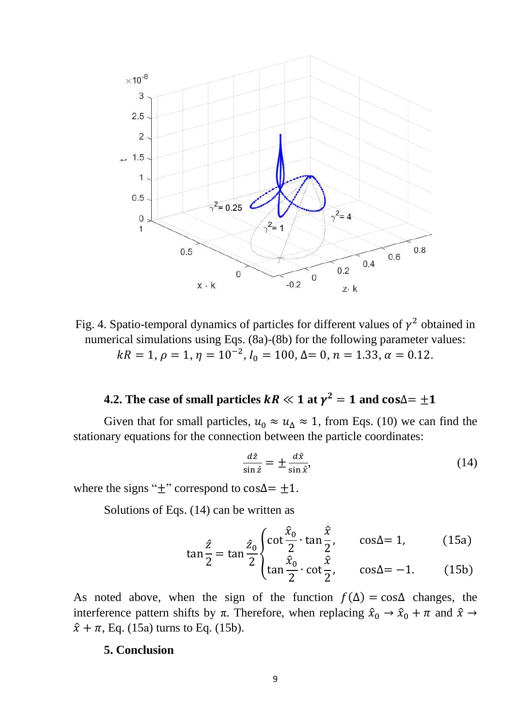

Fig. 4. Spatio-temporal dynamics of particles for different values of  $\gamma^2$  obtained in numerical simulations using Eqs. (8a)-(8b) for the following parameter values:  $kR = 1, \rho = 1, \eta = 10^{-2}, I_0 = 100, \Delta = 0, n = 1.33, \alpha = 0.12.$ 

# **4.2.** The case of small particles  $kR \ll 1$  at  $\gamma^2 = 1$  and  $\cos \Delta = \pm 1$

Given that for small particles,  $u_0 \approx u_\Delta \approx 1$ , from Eqs. (10) we can find the stationary equations for the connection between the particle coordinates:

$$
\frac{d\hat{z}}{\sin \hat{z}} = \pm \frac{d\hat{x}}{\sin \hat{x}},\tag{14}
$$

where the signs " $\pm$ " correspond to cos $\Delta = \pm 1$ .

Solutions of Eqs. (14) can be written as

$$
\tan\frac{\hat{z}}{2} = \tan\frac{\hat{z}_0}{2} \begin{cases} \cot\frac{\hat{x}_0}{2} \cdot \tan\frac{\hat{x}}{2}, & \cos\Delta = 1, \\ \tan\frac{\hat{x}_0}{2} \cdot \cot\frac{\hat{x}}{2}, & \cos\Delta = -1. \end{cases}
$$
(15a)

As noted above, when the sign of the function  $f(\Delta) = \cos\Delta$  changes, the interference pattern shifts by  $\pi$ . Therefore, when replacing  $\hat{x}_0 \to \hat{x}_0 + \pi$  and  $\hat{x} \to \pi$  $\hat{x} + \pi$ , Eq. (15a) turns to Eq. (15b).

### **5. Conclusion**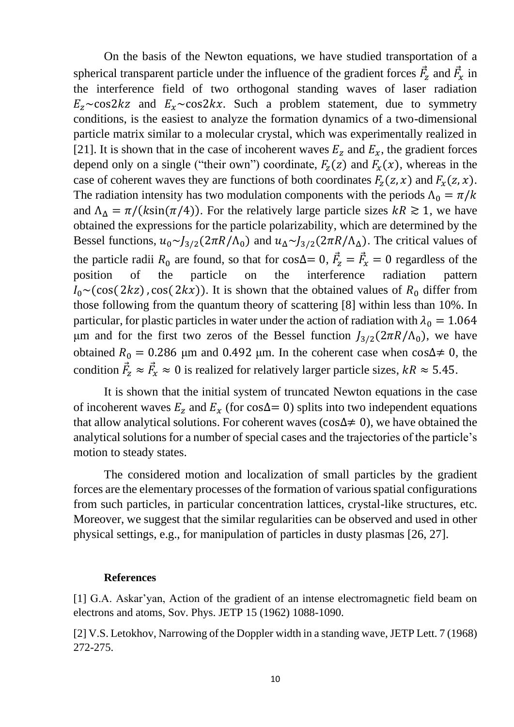On the basis of the Newton equations, we have studied transportation of a spherical transparent particle under the influence of the gradient forces  $\vec{F}_z$  and  $\vec{F}_x$  in the interference field of two orthogonal standing waves of laser radiation  $E_z \sim \frac{cos2kz}{x}$  and  $E_x \sim \frac{cos2kx}{x}$ . Such a problem statement, due to symmetry conditions, is the easiest to analyze the formation dynamics of a two-dimensional particle matrix similar to a molecular crystal, which was experimentally realized in [21]. It is shown that in the case of incoherent waves  $E_z$  and  $E_x$ , the gradient forces depend only on a single ("their own") coordinate,  $F_z(z)$  and  $F_x(x)$ , whereas in the case of coherent waves they are functions of both coordinates  $F_z(z, x)$  and  $F_x(z, x)$ . The radiation intensity has two modulation components with the periods  $\Lambda_0 = \pi/k$ and  $\Lambda_{\Delta} = \pi/(k\sin(\pi/4))$ . For the relatively large particle sizes  $kR \ge 1$ , we have obtained the expressions for the particle polarizability, which are determined by the Bessel functions,  $u_0 \sim J_{3/2}(2\pi R/\Lambda_0)$  and  $u_\Delta \sim J_{3/2}(2\pi R/\Lambda_0)$ . The critical values of the particle radii  $R_0$  are found, so that for cos∆= 0,  $\vec{F}_z = \vec{F}_x = 0$  regardless of the position of the particle on the interference radiation pattern  $I_0 \sim (cos(2kz)$ , cos( 2kx)). It is shown that the obtained values of  $R_0$  differ from those following from the quantum theory of scattering [8] within less than 10%. In particular, for plastic particles in water under the action of radiation with  $\lambda_0 = 1.064$ μm and for the first two zeros of the Bessel function  $J_{3/2}(2\pi R/\Lambda_0)$ , we have obtained  $R_0 = 0.286$  µm and 0.492 µm. In the coherent case when cos∆≠ 0, the condition  $\vec{F}_z \approx \vec{F}_x \approx 0$  is realized for relatively larger particle sizes,  $kR \approx 5.45$ .

It is shown that the initial system of truncated Newton equations in the case of incoherent waves  $E_z$  and  $E_x$  (for cos∆= 0) splits into two independent equations that allow analytical solutions. For coherent waves (cos∆≠ 0), we have obtained the analytical solutions for a number of special cases and the trajectories of the particle's motion to steady states.

The considered motion and localization of small particles by the gradient forces are the elementary processes of the formation of various spatial configurations from such particles, in particular concentration lattices, crystal-like structures, etc. Moreover, we suggest that the similar regularities can be observed and used in other physical settings, e.g., for manipulation of particles in dusty plasmas [26, 27].

#### **References**

[1] G.A. Askar'yan, Action of the gradient of an intense electromagnetic field beam on electrons and atoms, Sov. Phys. JETP 15 (1962) 1088-1090.

[2] V.S. Letokhov, Narrowing of the Doppler width in a standing wave, JETP Lett. 7 (1968) 272-275.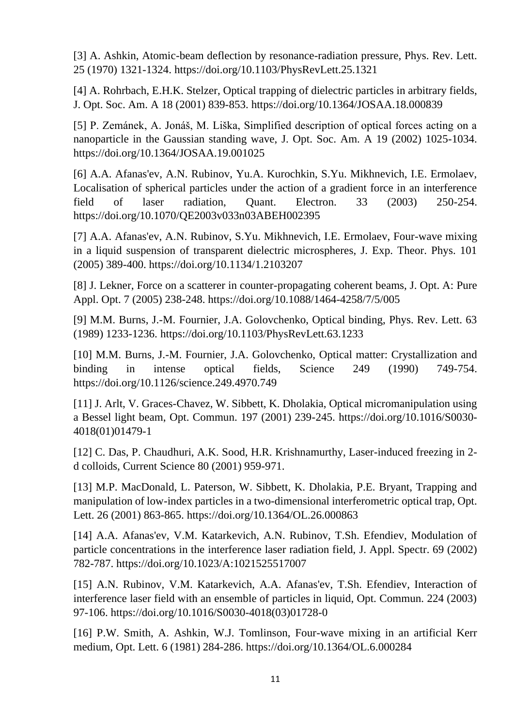[3] A. Ashkin, Atomic-beam deflection by resonance-radiation pressure, Phys. Rev. Lett. 25 (1970) 1321-1324. https://doi.org/10.1103/PhysRevLett.25.1321

[4] A. Rohrbach, E.H.K. Stelzer, Optical trapping of dielectric particles in arbitrary fields, J. Opt. Soc. Am. A 18 (2001) 839-853. https://doi.org/10.1364/JOSAA.18.000839

[5] P. Zemánek, A. Jonáš, M. Liška, Simplified description of optical forces acting on a nanoparticle in the Gaussian standing wave, J. Opt. Soc. Am. A 19 (2002) 1025-1034. https://doi.org/10.1364/JOSAA.19.001025

[6] A.A. Afanas'ev, A.N. Rubinov, Yu.A. Kurochkin, S.Yu. Mikhnevich, I.E. Ermolaev, Localisation of spherical particles under the action of a gradient force in an interference field of laser radiation, Quant. Electron. 33 (2003) 250-254. https://doi.org/10.1070/QE2003v033n03ABEH002395

[7] A.A. Afanas'ev, A.N. Rubinov, S.Yu. Mikhnevich, I.E. Ermolaev, Four-wave mixing in a liquid suspension of transparent dielectric microspheres, J. Exp. Theor. Phys. 101 (2005) 389-400. https://doi.org/10.1134/1.2103207

[8] J. Lekner, Force on a scatterer in counter-propagating coherent beams, J. Opt. A: Pure Appl. Opt. 7 (2005) 238-248. https://doi.org/10.1088/1464-4258/7/5/005

[9] M.M. Burns, J.-M. Fournier, J.A. Golovchenko, Optical binding, Phys. Rev. Lett. 63 (1989) 1233-1236. https://doi.org/10.1103/PhysRevLett.63.1233

[10] M.M. Burns, J.-M. Fournier, J.A. Golovchenko, Optical matter: Crystallization and binding in intense optical fields, Science 249 (1990) 749-754. https://doi.org/10.1126/science.249.4970.749

[11] J. Arlt, V. Graces-Chavez, W. Sibbett, K. Dholakia, Optical micromanipulation using a Bessel light beam, Opt. Commun. 197 (2001) 239-245. https://doi.org/10.1016/S0030- 4018(01)01479-1

[12] C. Das, P. Chaudhuri, A.K. Sood, H.R. Krishnamurthy, Laser-induced freezing in 2d colloids, Current Science 80 (2001) 959-971.

[13] M.P. MacDonald, L. Paterson, W. Sibbett, K. Dholakia, P.E. Bryant, Trapping and manipulation of low-index particles in a two-dimensional interferometric optical trap, Opt. Lett. 26 (2001) 863-865. https://doi.org/10.1364/OL.26.000863

[14] A.A. Afanas'ev, V.M. Katarkevich, A.N. Rubinov, T.Sh. Efendiev, Modulation of particle concentrations in the interference laser radiation field, J. Appl. Spectr. 69 (2002) 782-787. https://doi.org/10.1023/A:1021525517007

[15] A.N. Rubinov, V.M. Katarkevich, A.A. Afanas'ev, T.Sh. Efendiev, Interaction of interference laser field with an ensemble of particles in liquid, Opt. Commun. 224 (2003) 97-106. https://doi.org/10.1016/S0030-4018(03)01728-0

[16] P.W. Smith, A. Ashkin, W.J. Tomlinson, Four-wave mixing in an artificial Kerr medium, Opt. Lett. 6 (1981) 284-286. https://doi.org/10.1364/OL.6.000284